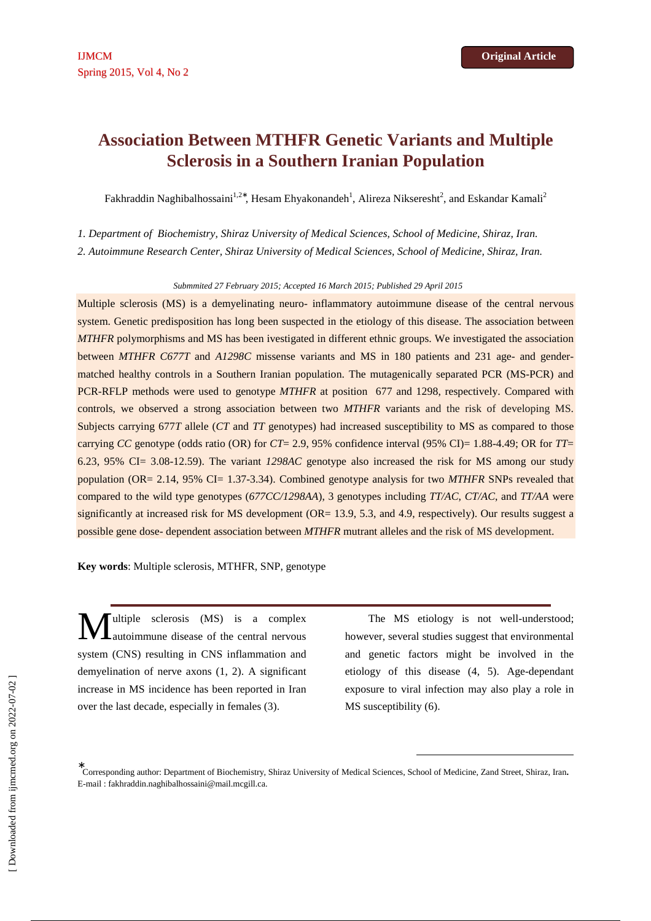# **Association Between MTHFR Genetic Variants and Multiple Sclerosis in a Southern Iranian Population**

Fakhraddin Naghibalhossaini $^{1,2*}$ , Hesam Ehyakonandeh $^1$ , Alireza Nikseresht $^2$ , and Eskandar Kamali $^2$ 

*1. Department of Biochemistry, Shiraz University of Medical Sciences, School of Medicine, Shiraz, Iran.* 

*2. Autoimmune Research Center, Shiraz University of Medical Sciences, School of Medicine, Shiraz, Iran.* 

*Submmited 27 February 2015; Accepted 16 March 2015; Published 29 April 2015* 

Multiple sclerosis (MS) is a demyelinating neuro- inflammatory autoimmune disease of the central nervous system. Genetic predisposition has long been suspected in the etiology of this disease. The association between *MTHFR* polymorphisms and MS has been ivestigated in different ethnic groups. We investigated the association between *MTHFR C677T* and *A1298C* missense variants and MS in 180 patients and 231 age- and gendermatched healthy controls in a Southern Iranian population. The mutagenically separated PCR (MS-PCR) and PCR-RFLP methods were used to genotype *MTHFR* at position 677 and 1298, respectively. Compared with controls, we observed a strong association between two *MTHFR* variants and the risk of developing MS. Subjects carrying 677*T* allele (*CT* and *TT* genotypes) had increased susceptibility to MS as compared to those carrying *CC* genotype (odds ratio (OR) for *CT*= 2.9, 95% confidence interval (95% CI)= 1.88-4.49; OR for *TT*= 6.23, 95% CI= 3.08-12.59). The variant *1298AC* genotype also increased the risk for MS among our study population (OR= 2.14, 95% CI= 1.37-3.34). Combined genotype analysis for two *MTHFR* SNPs revealed that compared to the wild type genotypes (*677CC/1298AA*), 3 genotypes including *TT/AC*, *CT/AC*, and *TT/AA* were significantly at increased risk for MS development (OR= 13.9, 5.3, and 4.9, respectively). Our results suggest a possible gene dose- dependent association between *MTHFR* mutrant alleles and the risk of MS development.

**Key words**: Multiple sclerosis, MTHFR, SNP, genotype

ultiple sclerosis (MS) is a complex autoimmune disease of the central nervous system (CNS) resulting in CNS inflammation and demyelination of nerve axons (1, 2). A significant increase in MS incidence has been reported in Iran over the last decade, especially in females (3). M

The MS etiology is not well-understood; however, several studies suggest that environmental and genetic factors might be involved in the etiology of this disease (4, 5). Age-dependant exposure to viral infection may also play a role in MS susceptibility (6).

l

<sup>∗</sup> Corresponding author: Department of Biochemistry, Shiraz University of Medical Sciences, School of Medicine, Zand Street, Shiraz, Iran**.**  E-mail : fakhraddin.naghibalhossaini@mail.mcgill.ca.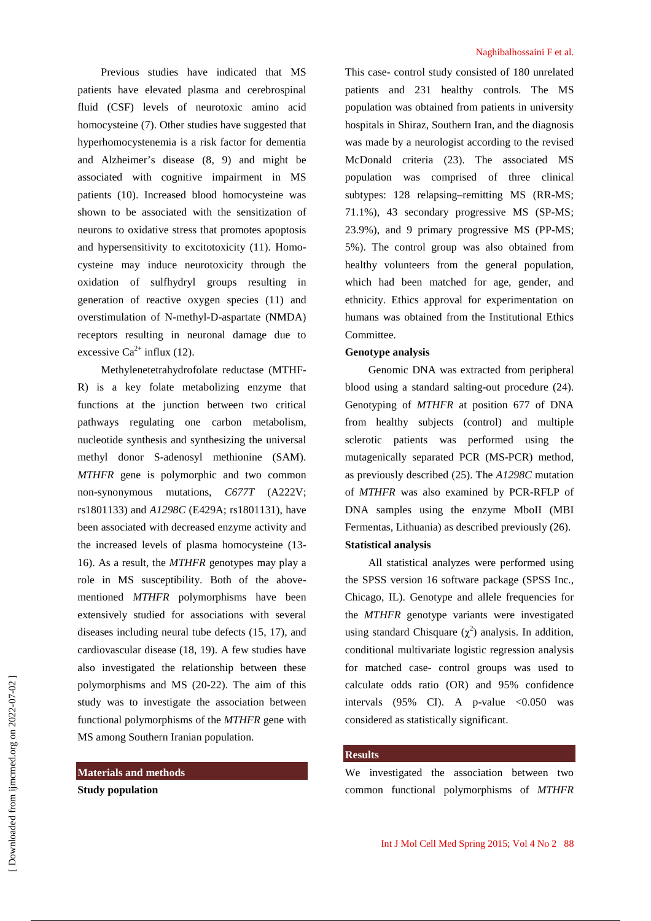Previous studies have indicated that MS patients have elevated plasma and cerebrospinal fluid (CSF) levels of neurotoxic amino acid homocysteine (7). Other studies have suggested that hyperhomocystenemia is a risk factor for dementia and Alzheimer's disease (8, 9) and might be associated with cognitive impairment in MS patients (10). Increased blood homocysteine was shown to be associated with the sensitization of neurons to oxidative stress that promotes apoptosis and hypersensitivity to excitotoxicity (11). Homocysteine may induce neurotoxicity through the oxidation of sulfhydryl groups resulting in generation of reactive oxygen species (11) and overstimulation of N-methyl-D-aspartate (NMDA) receptors resulting in neuronal damage due to excessive  $Ca^{2+}$  influx (12).

Methylenetetrahydrofolate reductase (MTHF-R) is a key folate metabolizing enzyme that functions at the junction between two critical pathways regulating one carbon metabolism, nucleotide synthesis and synthesizing the universal methyl donor S-adenosyl methionine (SAM). *MTHFR* gene is polymorphic and two common non-synonymous mutations, *C677T* (A222V; rs1801133) and *A1298C* (E429A; rs1801131), have been associated with decreased enzyme activity and the increased levels of plasma homocysteine (13- 16). As a result, the *MTHFR* genotypes may play a role in MS susceptibility. Both of the abovementioned *MTHFR* polymorphisms have been extensively studied for associations with several diseases including neural tube defects (15, 17), and cardiovascular disease (18, 19). A few studies have also investigated the relationship between these polymorphisms and MS (20-22). The aim of this study was to investigate the association between functional polymorphisms of the *MTHFR* gene with MS among Southern Iranian population.

## **Materials and methods**

**Study population** 

#### Naghibalhossaini F et al.

This case- control study consisted of 180 unrelated patients and 231 healthy controls. The MS population was obtained from patients in university hospitals in Shiraz, Southern Iran, and the diagnosis was made by a neurologist according to the revised McDonald criteria (23). The associated MS population was comprised of three clinical subtypes: 128 relapsing–remitting MS (RR-MS; 71.1%), 43 secondary progressive MS (SP-MS; 23.9%), and 9 primary progressive MS (PP-MS; 5%). The control group was also obtained from healthy volunteers from the general population, which had been matched for age, gender, and ethnicity. Ethics approval for experimentation on humans was obtained from the Institutional Ethics Committee.

## **Genotype analysis**

Genomic DNA was extracted from peripheral blood using a standard salting-out procedure (24). Genotyping of *MTHFR* at position 677 of DNA from healthy subjects (control) and multiple sclerotic patients was performed using the mutagenically separated PCR (MS-PCR) method, as previously described (25). The *A1298C* mutation of *MTHFR* was also examined by PCR-RFLP of DNA samples using the enzyme MboII (MBI Fermentas, Lithuania) as described previously (26). **Statistical analysis** 

All statistical analyzes were performed using the SPSS version 16 software package (SPSS Inc., Chicago, IL). Genotype and allele frequencies for the *MTHFR* genotype variants were investigated using standard Chisquare  $(\chi^2)$  analysis. In addition, conditional multivariate logistic regression analysis for matched case- control groups was used to calculate odds ratio (OR) and 95% confidence intervals  $(95\% \text{ CI})$ . A p-value  $\lt 0.050$  was considered as statistically significant.

#### **Results**

We investigated the association between two common functional polymorphisms of *MTHFR*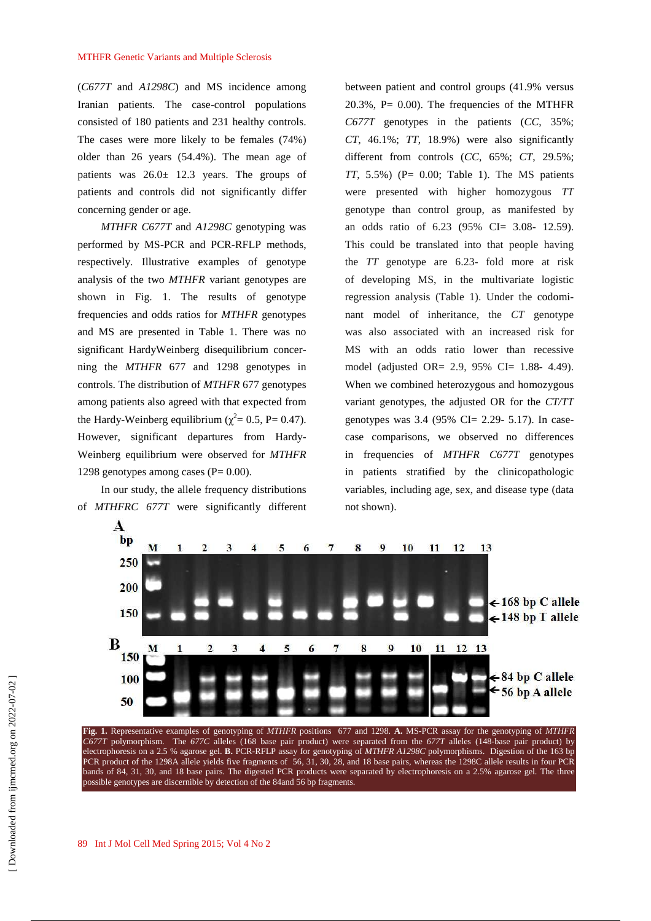(*C677T* and *A1298C*) and MS incidence among Iranian patients. The case-control populations consisted of 180 patients and 231 healthy controls. The cases were more likely to be females (74%) older than 26 years (54.4%). The mean age of patients was  $26.0 \pm 12.3$  years. The groups of patients and controls did not significantly differ concerning gender or age.

*MTHFR C677T* and *A1298C* genotyping was performed by MS-PCR and PCR-RFLP methods, respectively. Illustrative examples of genotype analysis of the two *MTHFR* variant genotypes are shown in Fig. 1. The results of genotype frequencies and odds ratios for *MTHFR* genotypes and MS are presented in Table 1. There was no significant HardyWeinberg disequilibrium concerning the *MTHFR* 677 and 1298 genotypes in controls. The distribution of *MTHFR* 677 genotypes among patients also agreed with that expected from the Hardy-Weinberg equilibrium ( $\chi^2$  = 0.5, P = 0.47). However, significant departures from Hardy-Weinberg equilibrium were observed for *MTHFR*  1298 genotypes among cases  $(P= 0.00)$ .

In our study, the allele frequency distributions of *MTHFRC 677T* were significantly different between patient and control groups (41.9% versus  $20.3\%$ , P= 0.00). The frequencies of the MTHFR *C677T* genotypes in the patients (*CC*, 35%; *CT*, 46.1%; *TT*, 18.9%) were also significantly different from controls (*CC*, 65%; *CT*, 29.5%;  $TT$ , 5.5%) (P=  $0.00$ ; Table 1). The MS patients were presented with higher homozygous *TT* genotype than control group, as manifested by an odds ratio of 6.23 (95% CI= 3.08- 12.59). This could be translated into that people having the *TT* genotype are 6.23- fold more at risk of developing MS, in the multivariate logistic regression analysis (Table 1). Under the codominant model of inheritance, the *CT* genotype was also associated with an increased risk for MS with an odds ratio lower than recessive model (adjusted OR= 2.9, 95% CI= 1.88- 4.49). When we combined heterozygous and homozygous variant genotypes, the adjusted OR for the *CT/TT* genotypes was 3.4 (95% CI= 2.29- 5.17). In casecase comparisons, we observed no differences in frequencies of *MTHFR C677T* genotypes in patients stratified by the clinicopathologic variables, including age, sex, and disease type (data not shown).



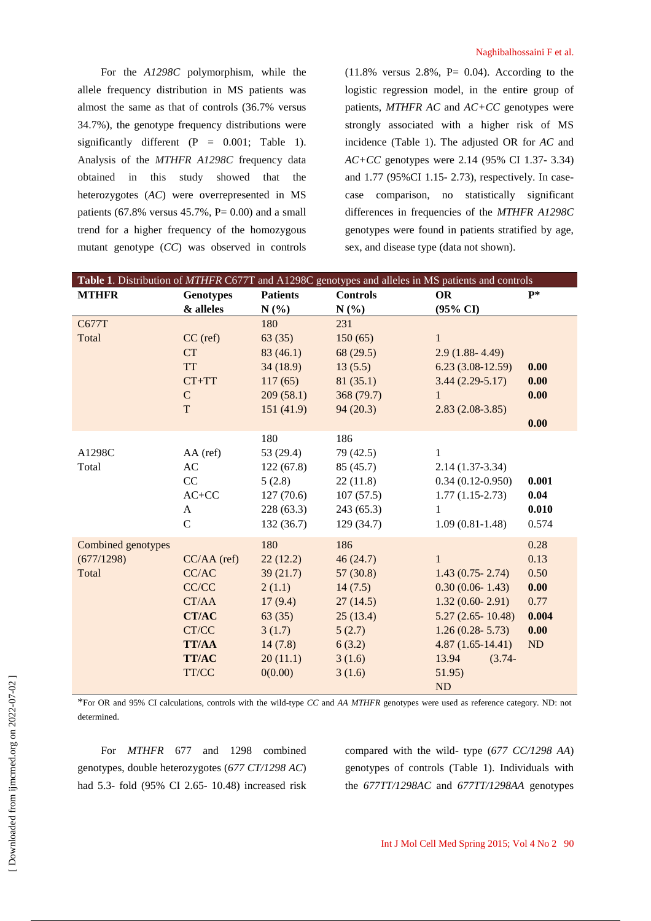For the *A1298C* polymorphism, while the allele frequency distribution in MS patients was almost the same as that of controls (36.7% versus 34.7%), the genotype frequency distributions were significantly different  $(P = 0.001;$  Table 1). Analysis of the *MTHFR A1298C* frequency data obtained in this study showed that the heterozygotes (*AC*) were overrepresented in MS patients (67.8% versus  $45.7\%$ , P= 0.00) and a small trend for a higher frequency of the homozygous mutant genotype (*CC*) was observed in controls

(11.8% versus 2.8%, P= 0.04). According to the logistic regression model, in the entire group of patients, *MTHFR AC* and *AC+CC* genotypes were strongly associated with a higher risk of MS incidence (Table 1). The adjusted OR for *AC* and *AC+CC* genotypes were 2.14 (95% CI 1.37- 3.34) and 1.77 (95%CI 1.15- 2.73), respectively. In casecase comparison, no statistically significant differences in frequencies of the *MTHFR A1298C* genotypes were found in patients stratified by age, sex, and disease type (data not shown).

| Table 1. Distribution of MTHFR C677T and A1298C genotypes and alleles in MS patients and controls |                        |                 |                 |                      |       |
|---------------------------------------------------------------------------------------------------|------------------------|-----------------|-----------------|----------------------|-------|
| <b>MTHFR</b>                                                                                      | <b>Genotypes</b>       | <b>Patients</b> | <b>Controls</b> | <b>OR</b>            | $P^*$ |
|                                                                                                   | & alleles              | N(%)            | $N(\%)$         | (95% CI)             |       |
| C677T                                                                                             |                        | 180             | 231             |                      |       |
| Total                                                                                             | $CC$ (ref)             | 63(35)          | 150(65)         | $\mathbf{1}$         |       |
|                                                                                                   | <b>CT</b>              | 83(46.1)        | 68(29.5)        | $2.9(1.88 - 4.49)$   |       |
|                                                                                                   | <b>TT</b>              | 34(18.9)        | 13(5.5)         | $6.23(3.08-12.59)$   | 0.00  |
|                                                                                                   | $CT+TT$                | 117(65)         | 81(35.1)        | $3.44(2.29-5.17)$    | 0.00  |
|                                                                                                   | ${\bf C}$              | 209(58.1)       | 368 (79.7)      | $\mathbf{1}$         | 0.00  |
|                                                                                                   | T                      | 151(41.9)       | 94(20.3)        | $2.83(2.08-3.85)$    |       |
|                                                                                                   |                        |                 |                 |                      | 0.00  |
|                                                                                                   |                        | 180             | 186             |                      |       |
| A1298C                                                                                            | AA (ref)               | 53 (29.4)       | 79 (42.5)       | 1                    |       |
| Total                                                                                             | $\mathbf{A}\mathbf{C}$ | 122(67.8)       | 85 (45.7)       | $2.14(1.37-3.34)$    |       |
|                                                                                                   | CC                     | 5(2.8)          | 22(11.8)        | $0.34(0.12-0.950)$   | 0.001 |
|                                                                                                   | $AC+CC$                | 127(70.6)       | 107(57.5)       | $1.77(1.15-2.73)$    | 0.04  |
|                                                                                                   | A                      | 228(63.3)       | 243 (65.3)      | 1                    | 0.010 |
|                                                                                                   | $\mathbf C$            | 132(36.7)       | 129 (34.7)      | $1.09(0.81-1.48)$    | 0.574 |
| Combined genotypes                                                                                |                        | 180             | 186             |                      | 0.28  |
| (677/1298)                                                                                        | $CC/AA$ (ref)          | 22(12.2)        | 46(24.7)        | $\mathbf{1}$         | 0.13  |
| Total                                                                                             | CC/AC                  | 39(21.7)        | 57(30.8)        | $1.43(0.75 - 2.74)$  | 0.50  |
|                                                                                                   | CC/CC                  | 2(1.1)          | 14(7.5)         | $0.30(0.06 - 1.43)$  | 0.00  |
|                                                                                                   | CT/AA                  | 17(9.4)         | 27(14.5)        | $1.32(0.60 - 2.91)$  | 0.77  |
|                                                                                                   | <b>CT/AC</b>           | 63(35)          | 25(13.4)        | $5.27(2.65 - 10.48)$ | 0.004 |
|                                                                                                   | CT/CC                  | 3(1.7)          | 5(2.7)          | $1.26(0.28-5.73)$    | 0.00  |
|                                                                                                   | <b>TT/AA</b>           | 14(7.8)         | 6(3.2)          | $4.87(1.65-14.41)$   | ND    |
|                                                                                                   | <b>TT/AC</b>           | 20(11.1)        | 3(1.6)          | 13.94<br>$(3.74 -$   |       |
|                                                                                                   | TT/CC                  | 0(0.00)         | 3(1.6)          | 51.95)               |       |
|                                                                                                   |                        |                 |                 | <b>ND</b>            |       |

\*For OR and 95% CI calculations, controls with the wild-type *CC* and *AA MTHFR* genotypes were used as reference category. ND: not determined.

For *MTHFR* 677 and 1298 combined genotypes, double heterozygotes (*677 CT/1298 AC*) had 5.3- fold (95% CI 2.65- 10.48) increased risk compared with the wild- type (*677 CC/1298 AA*) genotypes of controls (Table 1). Individuals with the *677TT/1298AC* and *677TT/1298AA* genotypes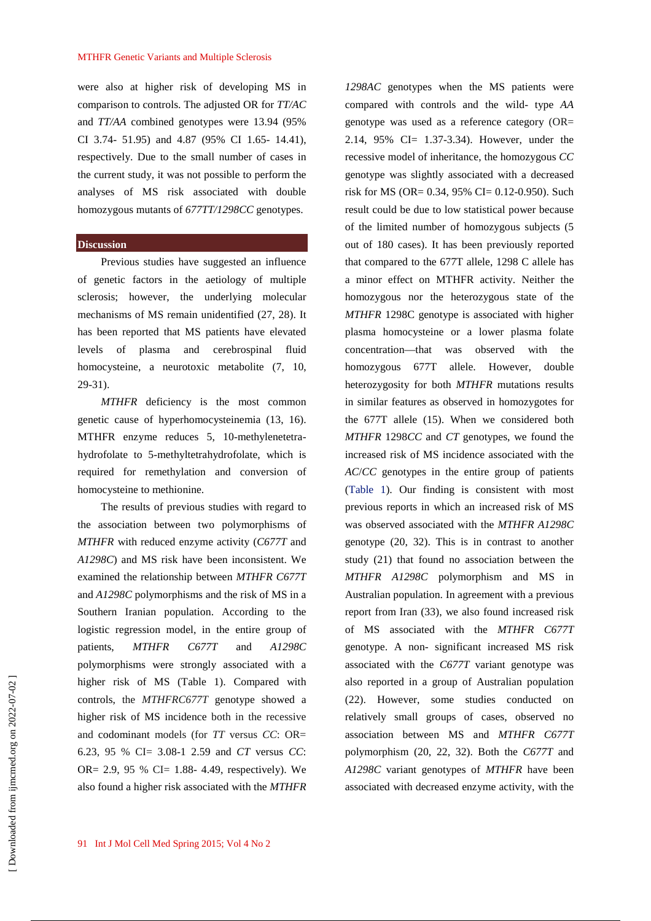were also at higher risk of developing MS in comparison to controls. The adjusted OR for *TT/AC* and *TT/AA* combined genotypes were 13.94 (95% CI 3.74- 51.95) and 4.87 (95% CI 1.65- 14.41), respectively. Due to the small number of cases in the current study, it was not possible to perform the analyses of MS risk associated with double homozygous mutants of *677TT/1298CC* genotypes.

### **Discussion**

Previous studies have suggested an influence of genetic factors in the aetiology of multiple sclerosis; however, the underlying molecular mechanisms of MS remain unidentified (27, 28). It has been reported that MS patients have elevated levels of plasma and cerebrospinal fluid homocysteine, a neurotoxic metabolite (7, 10, 29-31).

*MTHFR* deficiency is the most common genetic cause of hyperhomocysteinemia (13, 16). MTHFR enzyme reduces 5, 10-methylenetetrahydrofolate to 5-methyltetrahydrofolate, which is required for remethylation and conversion of homocysteine to methionine.

The results of previous studies with regard to the association between two polymorphisms of *MTHFR* with reduced enzyme activity (*C677T* and *A1298C*) and MS risk have been inconsistent. We examined the relationship between *MTHFR C677T* and *A1298C* polymorphisms and the risk of MS in a Southern Iranian population. According to the logistic regression model, in the entire group of patients, *MTHFR C677T* and *A1298C*  polymorphisms were strongly associated with a higher risk of MS (Table 1). Compared with controls, the *MTHFRC677T* genotype showed a higher risk of MS incidence both in the recessive and codominant models (for *TT* versus *CC*: OR= 6.23, 95 % CI= 3.08-1 2.59 and *CT* versus *CC*: OR= 2.9, 95 % CI= 1.88- 4.49, respectively). We also found a higher risk associated with the *MTHFR* 

*1298AC* genotypes when the MS patients were compared with controls and the wild- type *AA* genotype was used as a reference category (OR= 2.14, 95% CI= 1.37-3.34). However, under the recessive model of inheritance, the homozygous *CC* genotype was slightly associated with a decreased risk for MS (OR= 0.34, 95% CI= 0.12-0.950). Such result could be due to low statistical power because of the limited number of homozygous subjects (5 out of 180 cases). It has been previously reported that compared to the 677T allele, 1298 C allele has a minor effect on MTHFR activity. Neither the homozygous nor the heterozygous state of the *MTHFR* 1298C genotype is associated with higher plasma homocysteine or a lower plasma folate concentration—that was observed with the homozygous 677T allele. However, double heterozygosity for both *MTHFR* mutations results in similar features as observed in homozygotes for the 677T allele (15). When we considered both *MTHFR* 1298*CC* and *CT* genotypes, we found the increased risk of MS incidence associated with the *AC*/*CC* genotypes in the entire group of patients (Table 1). Our finding is consistent with most previous reports in which an increased risk of MS was observed associated with the *MTHFR A1298C* genotype (20, 32). This is in contrast to another study (21) that found no association between the *MTHFR A1298C* polymorphism and MS in Australian population. In agreement with a previous report from Iran (33), we also found increased risk of MS associated with the *MTHFR C677T*  genotype. A non- significant increased MS risk associated with the *C677T* variant genotype was also reported in a group of Australian population (22). However, some studies conducted on relatively small groups of cases, observed no association between MS and *MTHFR C677T*  polymorphism (20, 22, 32). Both the *C677T* and *A1298C* variant genotypes of *MTHFR* have been associated with decreased enzyme activity, with the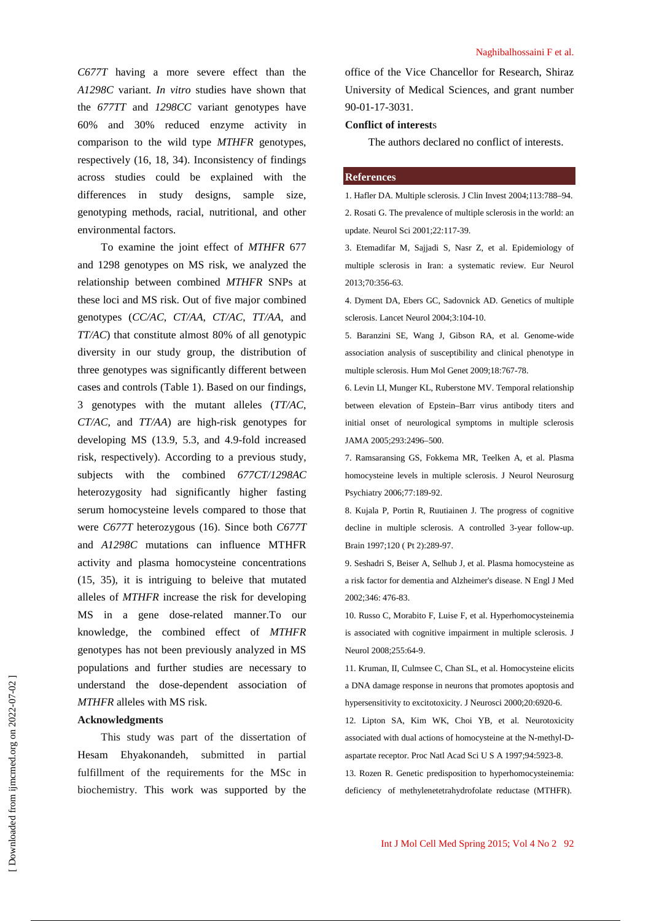*C677T* having a more severe effect than the *A1298C* variant. *In vitro* studies have shown that the *677TT* and *1298CC* variant genotypes have 60% and 30% reduced enzyme activity in comparison to the wild type *MTHFR* genotypes, respectively (16, 18, 34). Inconsistency of findings across studies could be explained with the differences in study designs, sample size, genotyping methods, racial, nutritional, and other environmental factors.

To examine the joint effect of *MTHFR* 677 and 1298 genotypes on MS risk, we analyzed the relationship between combined *MTHFR* SNPs at these loci and MS risk. Out of five major combined genotypes (*CC/AC*, *CT/AA*, *CT/AC*, *TT/AA*, and *TT/AC*) that constitute almost 80% of all genotypic diversity in our study group, the distribution of three genotypes was significantly different between cases and controls (Table 1). Based on our findings, 3 genotypes with the mutant alleles (*TT/AC*, *CT/AC*, and *TT/AA*) are high-risk genotypes for developing MS (13.9, 5.3, and 4.9-fold increased risk, respectively). According to a previous study, subjects with the combined *677CT/1298AC* heterozygosity had significantly higher fasting serum homocysteine levels compared to those that were *C677T* heterozygous (16). Since both *C677T* and *A1298C* mutations can influence MTHFR activity and plasma homocysteine concentrations (15, 35), it is intriguing to beleive that mutated alleles of *MTHFR* increase the risk for developing MS in a gene dose-related manner.To our knowledge, the combined effect of *MTHFR* genotypes has not been previously analyzed in MS populations and further studies are necessary to understand the dose-dependent association of *MTHFR* alleles with MS risk.

# **Acknowledgments**

This study was part of the dissertation of Hesam Ehyakonandeh, submitted in partial fulfillment of the requirements for the MSc in biochemistry. This work was supported by the

office of the Vice Chancellor for Research, Shiraz University of Medical Sciences, and grant number 90-01-17-3031.

## **Conflict of interest**s

The authors declared no conflict of interests.

#### **References**

1. Hafler DA. Multiple sclerosis. J Clin Invest 2004;113:788–94. 2. Rosati G. The prevalence of multiple sclerosis in the world: an update. Neurol Sci 2001;22:117-39.

3. Etemadifar M, Sajjadi S, Nasr Z, et al. Epidemiology of multiple sclerosis in Iran: a systematic review. Eur Neurol 2013;70:356-63.

4. Dyment DA, Ebers GC, Sadovnick AD. Genetics of multiple sclerosis. Lancet Neurol 2004;3:104-10.

5. Baranzini SE, Wang J, Gibson RA, et al. Genome-wide association analysis of susceptibility and clinical phenotype in multiple sclerosis. Hum Mol Genet 2009;18:767-78.

6. Levin LI, Munger KL, Ruberstone MV. Temporal relationship between elevation of Epstein–Barr virus antibody titers and initial onset of neurological symptoms in multiple sclerosis JAMA 2005;293:2496–500.

7. Ramsaransing GS, Fokkema MR, Teelken A, et al. Plasma homocysteine levels in multiple sclerosis. J Neurol Neurosurg Psychiatry 2006;77:189-92.

8. Kujala P, Portin R, Ruutiainen J. The progress of cognitive decline in multiple sclerosis. A controlled 3-year follow-up. Brain 1997;120 ( Pt 2):289-97.

9. Seshadri S, Beiser A, Selhub J, et al. Plasma homocysteine as a risk factor for dementia and Alzheimer's disease. N Engl J Med 2002;346: 476-83.

10. Russo C, Morabito F, Luise F, et al. Hyperhomocysteinemia is associated with cognitive impairment in multiple sclerosis. J Neurol 2008;255:64-9.

11. Kruman, II, Culmsee C, Chan SL, et al. Homocysteine elicits a DNA damage response in neurons that promotes apoptosis and hypersensitivity to excitotoxicity. J Neurosci 2000;20:6920-6.

12. Lipton SA, Kim WK, Choi YB, et al. Neurotoxicity associated with dual actions of homocysteine at the N-methyl-Daspartate receptor. Proc Natl Acad Sci U S A 1997;94:5923-8.

13. Rozen R. Genetic predisposition to hyperhomocysteinemia: deficiency of methylenetetrahydrofolate reductase (MTHFR).